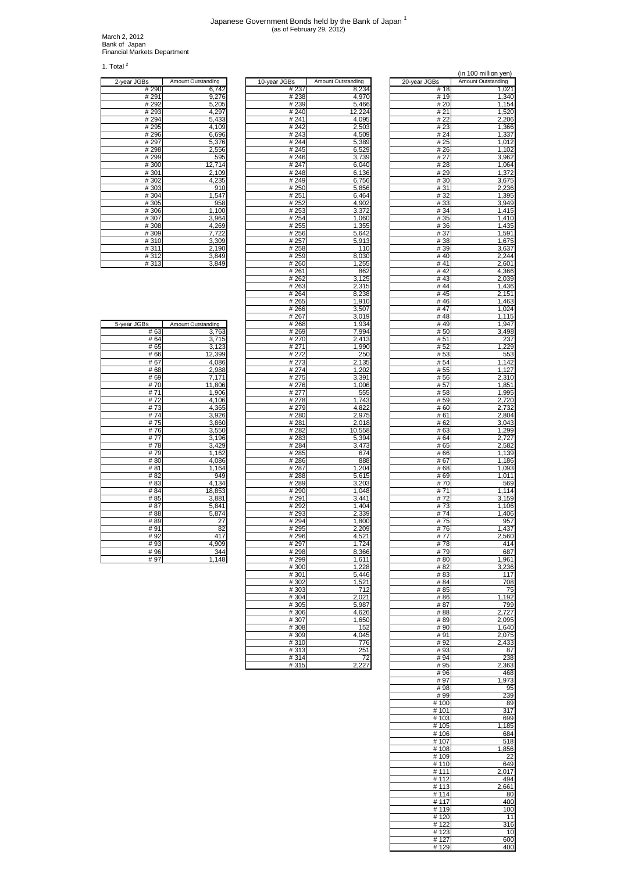## Japanese Government Bonds held by the Bank of Japan 1 (as of February 29, 2012)

March 2, 2012 Bank of Japan Financial Markets Department

1. Total $^2$ 

| 2-year JGBs | Amount Outstanding |
|-------------|--------------------|
| #290        | 6,742              |
| # 291       | 9,276              |
| # 292       | 5,205              |
| #293        | 4,297              |
| #294        | 5,433              |
| #295        | 4,109              |
| #296        | 6,696              |
| #297        | 5,376              |
| #298        | 2,556              |
| #299        | 595                |
| #300        | 12,714             |
| #301        | 2,109              |
| #302        | 4,235              |
| #303        | 910                |
| #304        | 1,547              |
| #305        | 958                |
| #306        | 1,100              |
| #307        | 3,964              |
| #308        | 4,269              |
| #309        | 7.722              |
| #310        | 3,309              |
| #311        | 2,190              |
| #312        | 3,849              |
| #313        | 3,849              |

| ۱S                | Amount Outstanding | <u>10-year JGBs</u> | Amount Outstanding | 20-year JGBs | Amount Outstanding |
|-------------------|--------------------|---------------------|--------------------|--------------|--------------------|
| # 290             | 6,742              | # 237               | 8,234              | # 18         | 1,021              |
| $\frac{1}{4}$ 291 | 9,276              | #238                | 4,970              | #19          | 1,340              |
| # 292             | 5,205              | #239                | 5,466              | # 20         | 1,154              |
| # 293             | 4,297              | #240                | 12,224             | # 21         | 1,520              |
| $\frac{1}{4}$ 294 | 5,433              | #241                | 4,095              | # 22         | 2,206              |
| # 295             | 4,109              | #242                | 2,503              | #23          | 1,366              |
| # 296             | 6,696              | #243                | 4,509              | # 24         | 1,337              |
|                   |                    | #244                |                    |              |                    |
| # 297             | 5,376              |                     | 5,389              | # 25         | 1,012              |
| # 298             | 2,556              | #245                | 6,529              | # 26         | 1,102              |
| # 299             | 595                | #246                | 3,739              | # 27         | 3,962              |
| # 300             | 12,714             | # 247               | 6,040              | # 28         | 1,064              |
| #301              | 2,109              | #248                | 6,136              | # 29         | 1,372              |
| #302              | 4,235              | #249                | 6,756              | # 30         | 3,675              |
| $\frac{1}{4}303$  | 910                | #250                | 5,856              | #31          | 2,236              |
| #304              | 1,547              | #251                | 6,464              | #32          | 1,395              |
| #305              | 958                | # 252               | 4,902              | #33          | 3,949              |
| #306              | 1,100              | #253                | 3,372              | #34          | 1,415              |
| #307              | 3,964              | #254                | 1,060              | # 35         | 1,410              |
| #308              | 4,269              | #255                | 1,355              | #36          | 1,435              |
| #309              | 7,722              | #256                | 5,642              | # 37         | 1,591              |
| #310              | 3,309              | # 257               | 5,913              | # 38         | 1,675              |
| #311              | 2,190              | #258                | 110                | # 39         | 3,637              |
| #312              | 3,849              | # 259               | 8,030              | #40          | 2,244              |
|                   |                    |                     |                    |              |                    |
| #313              | 3,849              | #260                | 1,255              | #41          | 2,601              |
|                   |                    | #261                | 862                | #42          | 4,366              |
|                   |                    | # 262               | 3,125              | #43          | 2,039              |
|                   |                    | # 263               | 2,315              | #44          | 1,436              |
|                   |                    | # 264               | 8,238              | #45          | 2,151              |
|                   |                    | # 265               | 1,910              | #46          | 1,463              |
|                   |                    | #266                | 3,507              | #47          | 1,024              |
|                   |                    | #267                | 3,019              | #48          | 1,115              |
| iS                | Amount Outstanding | #268                | 1,934              | #49          | 1,947              |
| # 63              | 3,763              | # 269               | 7,994              | # 50         | 3,498              |
| # 64              | 3,715              | #270                | 2,413              | # 51         | 237                |
| # 65              | 3,123              | # 271               | 1,990              | #52          | 1,229              |
| #66               | 12,399             | # 272               | 250                | # 53         | 553                |
| # 67              | 4,086              | #273                | 2,135              | # 54         | 1,142              |
| #68               | 2,988              | #274                | 1,202              | # 55         | 1,127              |
| #69               | 7,171              | #275                |                    | #56          | 2,310              |
|                   |                    |                     | 3,391              |              |                    |
| #70               | 11,806             | #276                | 1,006              | #57          | 1,851              |
| #71               | 1,906              | # 277               | 555                | #58          | 1,995              |
| #72               | 4,106              | #278                | 1,743              | # 59         | 2,720              |
| #73               | 4,365              | #279                | 4,822              | #60          | 2,732              |
| #74               | 3,926              | #280                | 2,975              | # 61         | 2,804              |
| #75               | 3,860              | #281                | 2,018              | # 62         | 3,043              |
| #76               | 3,550              | #282                | 10,558             | # 63         | 1,299              |
| # 77              | 3,196              | # 283               | 5,394              | # 64         | 2,727              |
| #78               | 3,429              | #284                | 3,473              | # 65         | 2,582              |
| #79               | 1,162              | #285                | 674                | # 66         | 1,139              |
| #80               | 4,086              | #286                | 888                | #67          | 1,186              |
| # 81              | 1,164              | #287                | 1,204              | # 68         | 1,093              |
| #82               | 949                | #288                | 5,615              | # 69         | 1,011              |
| #83               | 4,134              | #289                | 3,203              | # 70         | 569                |
| #84               | 18,853             | #290                | 1,048              | # 71         | 1,114              |
| # 85              | 3,881              | #291                | 3,441              | #72          | 3,159              |
| #87               | 5,841              | #292                | 1,404              | #73          | 1,106              |
| #88               | 5,874              | #293                | 2,339              | #74          | 406                |
|                   |                    |                     |                    |              |                    |
| #89               | 27                 | #294                | 1,800              | #75          | 957                |
| #91               | 82                 | # 295               | 2,209              | #76          | 1,437              |
| #92               | 417                | #296                | 4,521              | # 77         | 2,560              |
| # 93              | 4.909              | #297                | 1.724              | #78          | 414                |
| #96               | 344                | #298                | 8,366              | #79          | 687                |
| # 97              | 1,148              | #299                | 1,611              | #80          | 1,961              |
|                   |                    | #300                | 1,228              | # 82         | 3,236              |
|                   |                    | #301                | 5,446              | # 83         | 117                |
|                   |                    | #302                | 1,521              | # 84         | 708                |
|                   |                    | #303                | 712                | # 85         | 75                 |
|                   |                    | #304                | 2,021              | # 86         | 1,192              |
|                   |                    | # 305               | 5,987              | # 87         | 799                |
|                   |                    | #306                | 4,626              | # 88         | 2,727              |
|                   |                    | #307                | 1,650              | #89          | 2,095              |
|                   |                    | #308                | 152                | #90          | 1,640              |
|                   |                    | #309                | 4,045              | #91          | 2,075              |
|                   |                    |                     |                    |              |                    |
|                   |                    | #310                | 776                | #92          | 2,433              |
|                   |                    | #313                | 251                | #93          | 87                 |
|                   |                    | #314                | 72                 | #94          | 238                |
|                   |                    | #315                | 2,227              | #95          | 2,363              |

| νιαι          |                    |                |                    |               | (in 100 million yen) |
|---------------|--------------------|----------------|--------------------|---------------|----------------------|
| 2-year JGBs   | Amount Outstanding | 10-year JGBs   | Amount Outstanding | 20-year JGBs  | Amount Outstanding   |
| #290<br># 291 | 6,742<br>9,276     | # 237<br>#238  | 8,234<br>4,970     | #18<br>#19    | 1,021<br>1,340       |
| # 292         | 5,205              | #239           | 5,466              | # 20          | 1,154                |
| #293          | 4,297              | #240           | 12,224             | #21           | 1,520                |
| #294<br>#295  | 5,433<br>4,109     | #241<br>#242   | 4,095<br>2,503     | # 22<br>#23   | 2,206<br>1,366       |
| #296          | 6,696              | #243           | 4,509              | # 24          | 1,337                |
| #297          | 5,376              | #244           | 5,389              | # 25          | 1,012                |
| #298<br>#299  | 2,556<br>595       | #245<br>#246   | 6,529<br>3,739     | #26<br># 27   | 1,102<br>3,962       |
| #300          | 12,714             | #247           | 6,040              | #28           | 1,064                |
| #301          | 2,109              | #248           | 6,136              | #29           | 1,372                |
| #302<br>#303  | 4,235<br>910       | #249<br>#250   | 6,756<br>5,856     | #30<br>#31    | 3,675<br>2,236       |
| #304          | 1,547              | #251           | 6,464              | #32           | 1,395                |
| #305          | 958                | #252           | 4,902              | #33           | 3,949                |
| #306          | 1,100              | #253           | 3,372              | #34           | 1,415<br>1,410       |
| #307<br>#308  | 3,964<br>4,269     | #254<br>#255   | 1,060<br>1,355     | # 35<br>#36   | 1,435                |
| #309          | 7,722              | #256           | 5,642              | #37           | 1,591                |
| #310<br>#311  | 3,309<br>2,190     | #257<br>#258   | 5,913<br>110       | # 38<br>#39   | 1,675<br>3,637       |
| #312          | 3,849              | # 259          | 8,030              | #40           | 2,244                |
| #313          | 3,849              | # 260          | 1,255              | #41           | 2,601                |
|               |                    | #261<br># 262  | 862<br>3,125       | # 42<br>#43   | 4,366<br>2,039       |
|               |                    | #263           | 2,315              | #44           | 1,436                |
|               |                    | # 264          | 8,238              | #45           | 2,151                |
|               |                    | # 265          | 1,910              | #46           | 1,463                |
|               |                    | #266<br>#267   | 3,507<br>3,019     | #47<br>#48    | 1,024<br>1,115       |
| 5-year JGBs   | Amount Outstanding | #268           | 1,934              | #49           | 1,947                |
| #63           | 3,763              | #269           | 7,994              | #50           | 3,498                |
| #64<br>#65    | 3,715<br>3,123     | # 270<br># 271 | 2,413<br>1,990     | #51<br>#52    | 237<br>1,229         |
| #66           | 12,399             | #272           | 250                | # 53          | 553                  |
| #67           | 4,086              | #273           | 2,135              | # 54          | 1,142                |
| #68<br>#69    | 2,988<br>7,171     | #274<br>#275   | 1,202<br>3,391     | # 55<br>#56   | 1,127<br>2,310       |
| #70           | 11,806             | #276           | 1,006              | # 57          | 1,851                |
| # 71          | 1,906              | # 277          | 555                | #58           | 1,995                |
| #72<br>#73    | 4,106<br>4,365     | #278<br>#279   | 1,743<br>4,822     | #59<br>#60    | 2,720<br>2,732       |
| #74           | 3,926              | #280           | 2,975              | # 61          | 2,804                |
| #75           | 3,860              | #281           | 2,018              | # 62          | 3,043                |
| #76<br>#77    | 3,550<br>3,196     | #282<br>#283   | 10,558<br>5,394    | #63<br># 64   | 1,299<br>2,727       |
| #78           | 3,429              | #284           | 3,473              | #65           | 2,582                |
| #79           | 1,162              | #285           | 674                | #66           | 1,139                |
| #80<br>#81    | 4,086<br>1,164     | #286<br>#287   | 888<br>1,204       | #67<br>#68    | 1,186<br>1,093       |
| #82           | 949                | #288           | 5,615              | #69           | 1,011                |
| #83           | 4,134              | #289           | 3,203              | #70           | 569                  |
| #84<br>#85    | 18,853<br>3,881    | #290<br>#291   | 1,048<br>3,441     | #71<br>#72    | 1,114<br>3,159       |
| #87           | 5,841              | #292           | 1,404              | #73           | 1,106                |
| #88           | 5,874              | #293           | 2,339              | #74           | 406                  |
| #89<br>#91    | 27<br>82           | #294<br>#295   | 1,800<br>2,209     | #75<br>#76    | 957<br>1,437         |
| #92           | 417                | #296           | 4,521              | # 77          | 2,560                |
| #93           | 4,909              | #297           | 1,724              | #78           | 414                  |
| # 96<br>#97   | 344<br>1,148       | #298<br>#299   | 8,366<br>1,611     | #79<br>#80    | 687<br>1,961         |
|               |                    | #300           | 1,228              | # 82          | 3,236                |
|               |                    | #301           | 5,446              | #83           | 117                  |
|               |                    | #302<br>#303   | 1,521<br>712       | # 84<br># 85  | 708<br>75            |
|               |                    | #304           | 2,021              | #86           | 1,192                |
|               |                    | #305           | 5,987              | # 87          | 799                  |
|               |                    | #306<br>#307   | 4,626<br>1,650     | # 88<br>#89   | 2,727<br>2,095       |
|               |                    | #308           | 152                | #90           | 1,640                |
|               |                    | #309           | 4.045              | #91           | 2,075                |
|               |                    | #310<br>#313   | 776<br>251         | #92<br>#93    | 2,433<br>87          |
|               |                    | #314           | 72                 | #94           | 238                  |
|               |                    | #315           | 2,227              | #95           | 2,363                |
|               |                    |                |                    | #96<br>#97    | 468<br>1,973         |
|               |                    |                |                    | #98           | 95                   |
|               |                    |                |                    | #99           | 239                  |
|               |                    |                |                    | #100          | 89<br>317            |
|               |                    |                |                    | #101<br>#103  | 699                  |
|               |                    |                |                    | #105          | 1,185                |
|               |                    |                |                    | #106          | 684<br>518           |
|               |                    |                |                    | #107<br>#108  | 1,856                |
|               |                    |                |                    | #109          | 22                   |
|               |                    |                |                    | #110          | 649                  |
|               |                    |                |                    | #111<br># 112 | 2,017<br>494         |
|               |                    |                |                    | # 113         | 2,661                |
|               |                    |                |                    | #114<br>#117  | 80<br>400            |
|               |                    |                |                    | #119          | 100                  |
|               |                    |                |                    | #120          | 11                   |
|               |                    |                |                    | #122<br>#123  | 316                  |
|               |                    |                |                    | #127          | 10<br>600            |
|               |                    |                |                    | #129          | 400                  |

| 5-year JGBs     | Amount Outstanding |
|-----------------|--------------------|
| #63             | 3,763              |
| #64             | 3,715              |
| # 65            | 3,123              |
| #66             | 12,399             |
| # 67            | 4,086              |
| #68             | 2,988              |
| #69             | 7,171              |
| #70             | 11,806             |
| #71             | 1,906              |
| #72             | 4,106              |
| #73             | 4,365              |
| #74             | 3,926              |
| #75             | 3,860              |
| #76             | 3,550              |
| #77             | 3,196              |
| #78             | 3,429              |
| #79             | 1,162              |
| #80             | 4,086              |
| # 81            | 1,164              |
| #82             | 949                |
| # 83            | 4,134              |
| # 84            | 18,853             |
| # 85            | 3,881              |
| #87             | 5,841              |
| #88             | 5,874              |
| #89             | 27                 |
| #91             | 82                 |
| #92             | 417                |
| #93             | 4,909              |
| #96             | 344                |
| $\frac{\pi}{2}$ | 4 4 4 0            |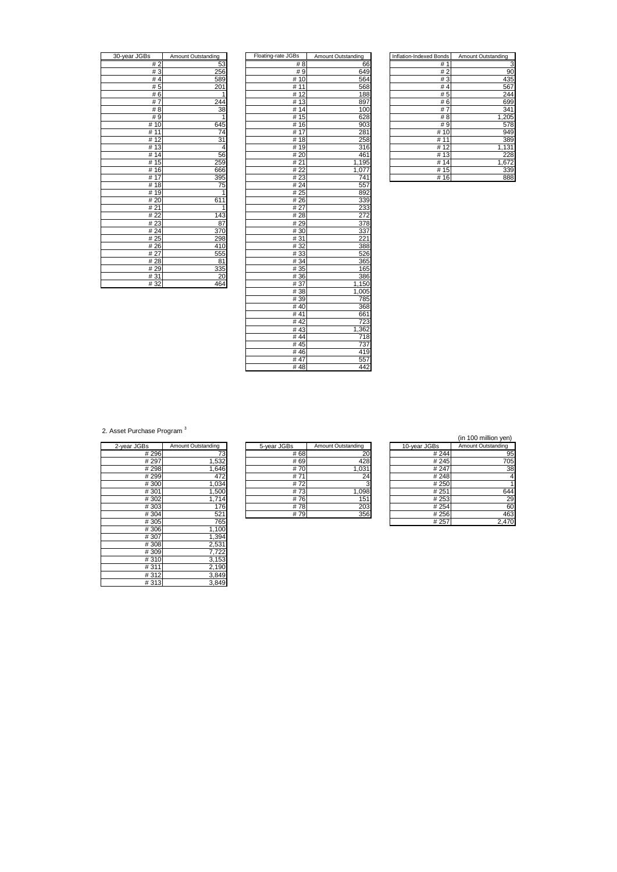| 30-year JGBs         | Amount Outstanding |
|----------------------|--------------------|
| #2                   | 53                 |
| #3                   | 256                |
| #4                   | 589                |
| #5                   | 201                |
| #6                   | 1                  |
| #7                   | 244                |
| # 8                  | 38                 |
| #9                   |                    |
| 10<br>#              | 645                |
| 11<br>#              | $\overline{74}$    |
| 12<br>#              | 31                 |
| 13<br>#              | 4                  |
| $\overline{14}$<br># | 56                 |
| $\overline{1}5$<br># | 259                |
| 16<br>#              | 666                |
| # $17$               | 395                |
| 18<br>#              | 75                 |
| 19<br>#              | $\mathbf{i}$       |
| # 20                 | 611                |
| #21                  |                    |
| # 22                 | 143                |
| #23                  | 87                 |
| # 24                 | 370                |
| #25                  | 298                |
| #26                  | 410                |
| # 27                 | 555                |
| #28                  | 81                 |
| #29                  | 335                |
| #31                  | 20                 |
| 400                  | ACA                |

| 30-year JGBs | Amount Outstanding | Floating-rate JGBs | Amount Outstanding | Inflation-Indexed Bonds | Amount Outstanding |
|--------------|--------------------|--------------------|--------------------|-------------------------|--------------------|
| #2           | 53                 | # 8                | 66                 | #1                      | З                  |
| #3           | 256                | #9                 | 649                | #2                      | 90                 |
| #4           | 589                | #10                | 564                | #3                      | 435                |
| #5           | 201                | #11                | 568                | # $4$                   | 567                |
| #6           | 1                  | #12                | 188                | #5                      | 244                |
| #7           | 244                | #13                | 897                | #6                      | 699                |
| # 8          | 38                 | #14                | 100                | #7                      | 341                |
| #9           | 1                  | #15                | 628                | #8                      | 1,205              |
| #10          | 645                | #16                | 903                | #9                      | 578                |
| #11          | 74                 | #17                | 281                | #10                     | 949                |
| #12          | 31                 | #18                | 258                | #11                     | 389                |
| # 13         | 4                  | #19                | 316                | #12                     | 1,131              |
| #14          | 56                 | #20                | 461                | #13                     | 228                |
| #15          | 259                | #21                | 1,195              | #14                     | 1,672              |
| #16          | 666                | #22                | 1,077              | #15                     | 339                |
| #17          | 395                | #23                | 741                | #16                     | 888                |
| #18          | 75                 | #24                | 557                |                         |                    |
| #19          | 1                  | # 25               | 892                |                         |                    |
| #20          | 611                | #26                | 339                |                         |                    |
| #21          | 1                  | #27                | 233                |                         |                    |
| #22          | 143                | #28                | 272                |                         |                    |
| #23          | 87                 | #29                | 378                |                         |                    |
| #24          | 370                | #30                | 337                |                         |                    |
| # 25         | 298                | #31                | 221                |                         |                    |
| #26          | 410                | #32                | 388                |                         |                    |
| # 27         | 555                | #33                | 526                |                         |                    |
| #28          | 81                 | #34                | 365                |                         |                    |
| #29          | 335                | # 35               | 165                |                         |                    |
| #31          | 20                 | #36                | 386                |                         |                    |
| #32          | 464                | #37                | 1,150              |                         |                    |
|              |                    | #38                | 1,005              |                         |                    |
|              |                    | #39                | 785                |                         |                    |
|              |                    | #40                | 368                |                         |                    |
|              |                    | #41                | 661                |                         |                    |
|              |                    | #42                | 723                |                         |                    |
|              |                    | #43                | 1,362              |                         |                    |
|              |                    | #44                | 718                |                         |                    |
|              |                    | #45                | 737                |                         |                    |
|              |                    | #46                | 419                |                         |                    |
|              |                    | #47                | 557                |                         |                    |
|              |                    | #48                | 442                |                         |                    |

| Inflation-Indexed Bonds | Amount Outstanding |
|-------------------------|--------------------|
| # 1                     |                    |
| $\overline{2}$<br>#     | 90                 |
| #3                      | 435                |
| #<br>$\overline{4}$     | 567                |
| # 5                     | 244                |
| #6                      | 699                |
| #7                      | 341                |
| #<br>8                  | 1,205              |
| # 9                     | 578                |
| # 10                    | 949                |
| #<br>11                 | 389                |
| # 12                    | 1,131              |
| #<br>13                 | 228                |
| # 14                    | 1,672              |
| #<br>15                 | 339                |
| #<br>16                 | 888                |

2. Asset Purchase Program<sup>3</sup>

| 2-year JGBs | Amount Outstanding | 5-year JGBs | Amount Outstanding | 10-year JGBs | Amount Outstanding |
|-------------|--------------------|-------------|--------------------|--------------|--------------------|
| #296        | 73                 | #68         | 20                 | #244         | 95                 |
| # 297       | 1,532              | # 69        | 428                | #245         | 705                |
| #298        | 1,646              | #70         | 1,031              | # 247        | 38                 |
| #299        | 472                | #71         | 24                 | #248         |                    |
| #300        | 1,034              | #72         | 3                  | #250         |                    |
| #301        | 1,500              | #73         | 1,098              | #251         | 644                |
| #302        | 1,714              | #76         | 151                | #253         | 29                 |
| #303        | 176                | #78         | 203                | #254         | 60                 |
| #304        | 521                | #79         | 356                | # 256        | 463                |
| #305        | 765                |             |                    | # 257        | 2,470              |
| #306        | 1,100              |             |                    |              |                    |
| #307        | 1,394              |             |                    |              |                    |
| #308        | 2,531              |             |                    |              |                    |
| #309        | 7,722              |             |                    |              |                    |
| #310        | 3,153              |             |                    |              |                    |
| #311        | 2,190              |             |                    |              |                    |
| #312        | 3,849              |             |                    |              |                    |
| #313        | 3,849              |             |                    |              |                    |
|             |                    |             |                    |              |                    |

| 2-year JGBs | Amount Outstanding | 5-year JGBs | Amount Outstanding | 10-year JGBs | Amount Outstanding |
|-------------|--------------------|-------------|--------------------|--------------|--------------------|
| #296        |                    | # 68        | 20                 | #244         |                    |
| # 297       | .532               | # 69        | 428                | # 245        |                    |
| #298        | .646               | #70         | 1,031              | # 247        |                    |
| #299        | 472                | # $7$       | 24                 | #248         |                    |
| #300        | .034               | #72         |                    | # 250        |                    |
| #301        | .500               | #73         | 1,098              | # 251        |                    |
| #302        | 714<br>.           | #76         | 151 <sub>1</sub>   | # 253        |                    |
| #303        | '76                | #78         | 203                | # 254        |                    |
| #304        | 521                | # 79        | 356                | # 256        |                    |

| (in 100 million yen) |  |
|----------------------|--|
| Amount Outstanding   |  |

|       | Amount Outstanding | 5-year JGBS | Amount Outstanding | <b>IU-year JGBS</b> | Alliount Outstanding |
|-------|--------------------|-------------|--------------------|---------------------|----------------------|
| #296  |                    | #68         | 20                 | # 244               | 95                   |
| # 297 | ,532               | # 69        | 428                | #245                | 705                  |
| # 298 | .646               | #70         | 1,031              | # 247               | 38                   |
| # 299 | 472                | # $74$      | 24                 | #248                |                      |
| #300  | ,034               | #72         |                    | # 250               |                      |
| #301  | ,500               | #73         | ,098               | # 251               | 644                  |
| #302  | .714               | #76         | 151                | # 253               | 29                   |
| #303  | 76                 | #78         | 203                | # 254               | 60                   |
| #304  | 521                | #79         | 356                | #256                | 463                  |
| # 305 | 765                |             |                    | # 257               | 2.470                |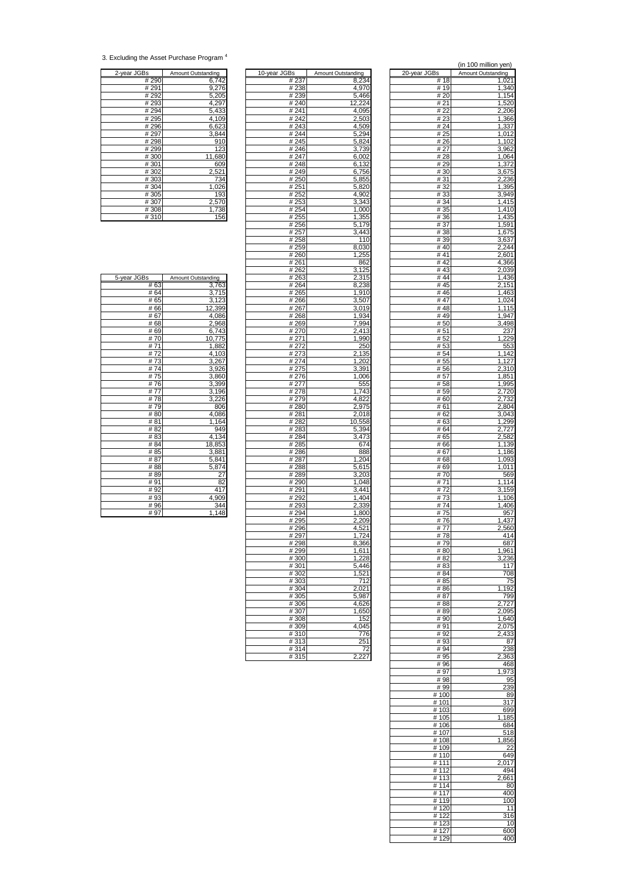<sup>3.</sup> Excluding the Asset Purchase Program <sup>4</sup>

| 2-year JGBs | Amount Outstanding |
|-------------|--------------------|
| #290        | 6,742              |
| # 291       | 9,276              |
| #292        | 5,205              |
| #293        | 4,297              |
| #294        | 5,433              |
| #295        | 4,109              |
| #296        | 6,623              |
| #297        | 3,844              |
| #298        | 910                |
| #299        | 123                |
| #300        | 11,680             |
| #301        | 609                |
| #302        | 2,521              |
| #303        | 734                |
| #304        | 1,026              |
| #305        | 193                |
| #307        | 2,570              |
| #308        | 1,738              |
| #310        | 156                |

|              |                    |                   |                    |              | $\mu$ , in the continuum $\mu$ can $\mu$ |
|--------------|--------------------|-------------------|--------------------|--------------|------------------------------------------|
| 2-year JGBs  | Amount Outstanding | 10-year JGBs      | Amount Outstanding | 20-year JGBs | Amount Outstanding                       |
| # 290        | 6,742              | # 237             | 8,234              | #18          | 1,021                                    |
| # 291        | 9,276              | # 238             | 4,970              | # 19         | 1,340                                    |
| # 292        | 5,205              | #239              | 5,466              | #20          | 1,154                                    |
| #293<br>#294 | 4,297<br>5,433     | #240<br>#241      | 12,224<br>4,095    | # 21<br># 22 | 1,520<br>2,206                           |
| #295         | 4,109              | #242              | 2,503              | #23          | 1,366                                    |
| #296         | 6,623              | #243              | 4,509              | # 24         | 1,337                                    |
| #297         | 3,844              | #244              | 5,294              | # 25         | 1,012                                    |
| #298         | 910                | #245              | 5,824              | # 26         | 1,102                                    |
| #299         | 123                | #246              | 3,739              | # 27         | 3,962                                    |
| #300         | 11,680             | # 247             | 6,002              | #28          | 1,064                                    |
| #301         | 609                | #248              | 6,132              | #29          | 1,372                                    |
| #302         | 2,521              | #249              | 6,756              | # 30         | 3,675                                    |
| #303         | 734                | #250              | 5,855              | #31          | 2,236                                    |
| #304         | 1,026              | # 251             | 5,820              | # 32         | 1,395                                    |
| #305<br>#307 | 193<br>2,570       | # 252<br># 253    | 4,902<br>3,343     | #33<br># 34  | 3,949<br>1,415                           |
| #308         | 1,738              | #254              | 1,000              | # 35         | 1,410                                    |
| #310         | 156                | # 255             | 1,355              | # 36         | 1,435                                    |
|              |                    | #256              | 5,179              | #37          | 1,591                                    |
|              |                    | #257              | 3,443              | #38          | 1,675                                    |
|              |                    | #258              | 110                | # 39         | 3,637                                    |
|              |                    | # 259             | 8,030              | #40          | 2,244                                    |
|              |                    | #260              | 1,255              | #41          | 2,601                                    |
|              |                    | # 261             | 862                | #42          | 4,366                                    |
|              |                    | #262              | 3,125              | #43          | 2,039                                    |
| 5-year JGBs  | Amount Outstanding | # 263             | 2,315              | # 44         | 1,436                                    |
| #63          | 3,763              | # 264             | 8,238              | #45<br>#46   | 2,151                                    |
| # 64<br># 65 | 3,715<br>3,123     | # 265<br># 266    | 1,910<br>3,507     | #47          | 1,463                                    |
| #66          | 12,399             | #267              | 3,019              | #48          | 1,024<br>1,115                           |
| #67          | 4,086              | # 268             | 1,934              | #49          | 1,947                                    |
| #68          | 2,968              | #269              | 7,994              | #50          | 3,498                                    |
| #69          | 6,743              | # 270             | 2,413              | # 51         | 237                                      |
| #70          | 10,775             | # 271             | 1,990              | # 52         | 1,229                                    |
| #71          | 1,882              | # 272             | 250                | #53          | 553                                      |
| #72          | 4,103              | #273              | 2,135              | # 54         | 1,142                                    |
| #73          | 3,267              | #274              | 1,202              | # 55         | 1,127                                    |
| #74          | 3,926              | #275              | 3,391              | #56          | 2,310                                    |
| #75          | 3,860              | #276              | 1,006              | #57          | 1,851                                    |
| #76<br>#77   | 3,399<br>3,196     | # 277<br># 278    | 555<br>1,743       | #58<br>#59   | 1,995<br>2,720                           |
| #78          | 3,226              | # 279             | 4,822              | # 60         | 2,732                                    |
| #79          | 806                | #280              | 2,975              | # 61         | 2,804                                    |
| #80          | 4,086              | #281              | 2,018              | # 62         | 3,043                                    |
| #81          | 1,164              | # 282             | 10,558             | # 63         | 1,299                                    |
| #82          | 949                | $\frac{1}{4}$ 283 | 5,394              | # 64         | 2,727                                    |
| #83          | 4,134              | # 284             | 3,473              | # 65         | 2,582                                    |
| #84          | 18,853             | # 285             | 674                | #66          | 1,139                                    |
| # 85         | 3,881              | #286              | 888                | #67          | 1,186                                    |
| #87<br>#88   | 5,841<br>5,874     | # 287             | 1,204<br>5,615     | #68          | 1,093<br>1,011                           |
| #89          | 27                 | #288<br>#289      | 3,203              | #69<br>#70   | 569                                      |
| #91          | 82                 | #290              | 1,048              | #71          | 1,114                                    |
| #92          | 417                | #291              | 3,441              | #72          | 3,159                                    |
| #93          | 4,909              | #292              | 1,404              | #73          | 1,106                                    |
| #96          | 344                | #293              | 2,339              | #74          | 1,406                                    |
| #97          | 1,148              | #294              | 1,800              | #75          | 957                                      |
|              |                    | # 295             | 2,209              | #76          | 1,437                                    |
|              |                    | #296              | 4,521              | #77          | 2,560                                    |
|              |                    | #297              | 1,724              | #78          | 414                                      |
|              |                    | #298<br>#299      | 8,366<br>1,611     | #79<br>#80   | 687<br>1,961                             |
|              |                    | #300              | 1,228              | #82          | 3,236                                    |
|              |                    | #301              | 5,446              | #83          | 117                                      |
|              |                    | #302              | 1,521              | # 84         | 708                                      |
|              |                    | #303              | 712                | # 85         | 75                                       |
|              |                    | #304              | 2,021              | #86          | 1,192                                    |
|              |                    | #305              | 5,987              | #87          | 799                                      |
|              |                    | #306              | 4,626              | #88          | 2,727                                    |
|              |                    | #307              | 1,650              | #89          | 2,095                                    |
|              |                    | #308              | 152                | # 90         | 1,640                                    |
|              |                    | #309              | 4,045              | # 91         | 2,075                                    |
|              |                    | #310              | 776                | # 92         | 2,433                                    |
|              |                    | #313              | 251                | #93<br># 94  | 87<br>238                                |
|              |                    | #314<br>#315      | 72<br>2,227        | #95          | 2,363                                    |
|              |                    |                   |                    |              |                                          |

|                |                    |              | (in 100 million yen) |
|----------------|--------------------|--------------|----------------------|
| .<br>Bs        | Amount Outstanding | 20-year JGBs | Amount Outstanding   |
| # 237          | 8,234              | #18          | 1,021                |
| # 238          | 4,970              | # 19         | 1,340                |
| # 239          | 5,466              | # 20         | 1,154                |
| # 240          | 12,224             | # 21         | 1,520                |
| #241           | 4,095              | # 22         | 2,206                |
| # 242          | 2,503              | #23          | 1,366                |
| #243           | 4,509              | # 24         | 1,337                |
| #244           | 5,294              | # 25         | 1,012                |
| # 245          | 5,824              | # 26         | 1,102                |
| #246           | 3,739              | # 27         | 3,962                |
| # 247          | 6,002              | # 28         | 1,064                |
| #248           | 6,132              | # 29         | 1,372                |
| #249           | 6,756              | #30          | 3,675                |
| #250           | 5,855              | #31          | 2,236                |
| # 251          | 5,820              | #32          | 1,395                |
| # 252          | 4,902              | #33          | 3,949                |
| # 253          | 3,343              | #34          | 1,415                |
| # 254          | 1,000              | # 35         | 1.410                |
| # 255          | 1,355              | #36          | 1,435                |
| # 256          | 5,179              | #37          | 1,591                |
| # 257          | 3,443              | #38          | 1,675                |
| # 258<br># 259 | 110<br>8,030       | #39<br>#40   | 3,637<br>2,244       |
|                | 1,255              | #41          |                      |
| # 260<br># 261 | 862                | #42          | 2,601                |
| # 262          | 3,125              | #43          | 4,366<br>2,039       |
| # 263          | 2,315              | #44          | 1,436                |
| # 264          | 8,238              | # 45         | 2,151                |
| # 265          | 1,910              | #46          | 1,463                |
| #266           | 3,507              | #47          | 1,024                |
| # 267          | 3,019              | #48          | 1.115                |
| #268           | 1,934              | #49          | 1,947                |
| # 269          | 7,994              | #50          | 3,498                |
| # 270          | 2,413              | # 51         | 237                  |
| #271           | 1,990              | #52          | 1,229                |
| # 272          | 250                | # 53         | 553                  |
| # 273          | 2,135              | # 54         | 1,142                |
| # 274          | 1,202              | # 55         | 1,127                |
| #275           | 3,391              | #56          | 2,310                |
| # 276          | 1,006              | # 57         | 1,851                |
| # 277          | 555                | #58          | 1,995                |
| # 278          | 1,743              | # 59         | 2,720                |
| # 279          | 4,822              | # 60         | 2,732                |
| #280           | 2,975              | # 61         | 2,804                |
| # 281          | 2,018              | # 62         | 3,043                |
| # 282          | 10,558             | # 63         | 1,299                |
| # 283          | 5,394              | # 64         | 2,727                |
| # 284          | 3,473              | # 65         | 2,582                |
| # 285          | 674                | #66          | 1,139                |
| #286           | 888                | #67          | 1,186                |
| # 287          | 1,204              | # 68         | 1,093                |
| #288           | 5,615              | # 69         | 1,011                |
| # 289          | 3,203              | #70          | 569                  |
| # 290          | 1,048              | # 71         | 1,114                |
| # 291          | 3,441              | #72          | 3,159                |
| # 292          | 1,404              | #73          | 1.106                |
| #293           | 2,339              | #74          | 1,406                |
| # 294          | 1,800              | #75          | 957                  |
| # 295          | 2,209              | #76          | 1,437                |
| # 296          | 4,521              | #11          | 2,560                |
| # 297          | 1,724              | #78          | 414                  |
| #298           | 8,366              | #79          | 687                  |
| # 299          | 1,611<br>1,228     | # 80         | 1,961                |
| #300<br>#301   | 5,446              | #82          | 3,236<br>117         |
| #302           | 1,521              | # 83<br>#84  | 708                  |
| # 303          | 712                | # 85         | 75                   |
| # 304          | 2,021              | #86          | 1,192                |
| # 305          | 5,987              | # 87         | 799                  |
| #306           | 4,626              | #88          | 2,727                |
| # 307          | 1,650              | #89          | 2,095                |
| #308           | 152                | #90          | 1,640                |
| #309           | 4,045              | #91          | 2,075                |
| # 310          | 776                | #92          | 2,433                |
| #313           | 251                | #93          | 87                   |
| # 314          | 72                 | # 94         | 238                  |
| #315           | 2,227              | #95          | 2,363                |
|                |                    | #96          | 468                  |
|                |                    | #97          | 1,973                |
|                |                    | #98          | 95                   |
|                |                    | #99          | 239                  |
|                |                    | #100         | 89                   |
|                |                    | # 101        | 317                  |
|                |                    | # 103        | 699                  |
|                |                    | # 105        | 1,185                |
|                |                    | #106         | 684                  |
|                |                    | # 107        | 518                  |
|                |                    | #108         | 1,856                |
|                |                    | # 109        | 22                   |
|                |                    | #110         | 649                  |
|                |                    | # 111        | 2,017                |
|                |                    | # 112        | 494                  |
|                |                    | # 113        | 2,661                |
|                |                    | # 114        | 80                   |
|                |                    | # 117        | 400                  |
|                |                    | # 119        | 100                  |
|                |                    | #120         | 11                   |
|                |                    | #122         | $\overline{316}$     |
|                |                    | #123         | 10                   |
|                |                    | #127         | 600                  |
|                |                    | #129         | 400                  |

| 5-year JGBs | Amount Outstanding |
|-------------|--------------------|
| #63         | 3,763              |
| # 64        | 3,715              |
| # 65        | 3,123              |
| #66         | 12,399             |
| #67         | 4,086              |
| #68         | 2,968<br>6,743     |
| #69         |                    |
| #70         | 10,775             |
| #71         | 1,882              |
| #72         | 4,103              |
| #73         | 3,267              |
| #74         | 3,926              |
| #75         | 3,860              |
| #76         | 3,399              |
| #77         | 3,196              |
| #78         | 3,226              |
| #79         | 806                |
| #80         | 4,086              |
| #81         | 1,164              |
| #82         | 949                |
| #83         | 4,134              |
| #84         | 18,853             |
| # 85        | 3,881              |
| #87         | 5,841              |
| #88         | 5,874              |
| #89         | 27                 |
| # 91        | 82                 |
| #92         | 417                |
| #93         | 4,909              |
| #96         | 344                |
| # 97        | 1,148              |